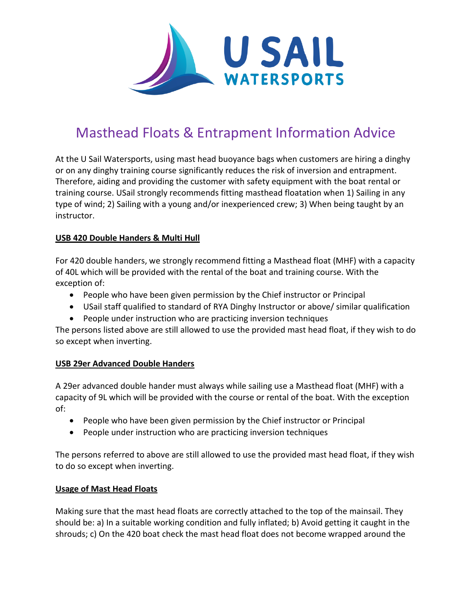

# Masthead Floats & Entrapment Information Advice

At the U Sail Watersports, using mast head buoyance bags when customers are hiring a dinghy or on any dinghy training course significantly reduces the risk of inversion and entrapment. Therefore, aiding and providing the customer with safety equipment with the boat rental or training course. USail strongly recommends fitting masthead floatation when 1) Sailing in any type of wind; 2) Sailing with a young and/or inexperienced crew; 3) When being taught by an instructor.

# **USB 420 Double Handers & Multi Hull**

For 420 double handers, we strongly recommend fitting a Masthead float (MHF) with a capacity of 40L which will be provided with the rental of the boat and training course. With the exception of:

- People who have been given permission by the Chief instructor or Principal
- USail staff qualified to standard of RYA Dinghy Instructor or above/ similar qualification
- People under instruction who are practicing inversion techniques

The persons listed above are still allowed to use the provided mast head float, if they wish to do so except when inverting.

# **USB 29er Advanced Double Handers**

A 29er advanced double hander must always while sailing use a Masthead float (MHF) with a capacity of 9L which will be provided with the course or rental of the boat. With the exception of:

- People who have been given permission by the Chief instructor or Principal
- People under instruction who are practicing inversion techniques

The persons referred to above are still allowed to use the provided mast head float, if they wish to do so except when inverting.

# **Usage of Mast Head Floats**

Making sure that the mast head floats are correctly attached to the top of the mainsail. They should be: a) In a suitable working condition and fully inflated; b) Avoid getting it caught in the shrouds; c) On the 420 boat check the mast head float does not become wrapped around the